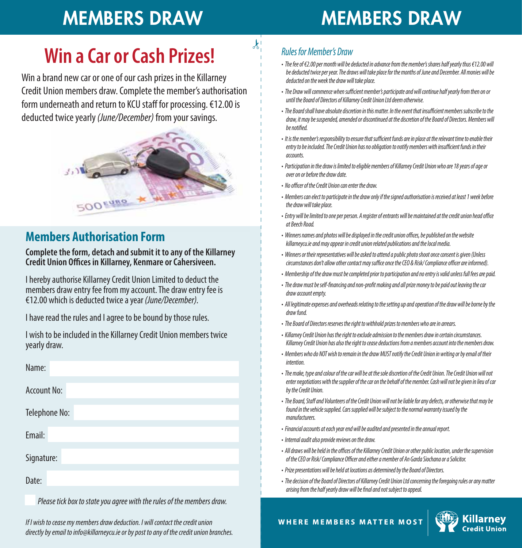## MEMBERS DRAW MEMBERS DRAW

### **Win a Car or Cash Prizes!**

Win a brand new car or one of our cash prizes in the Killarney Credit Union members draw. Complete the member's authorisation form underneath and return to KCU staff for processing. €12.00 is deducted twice yearly *(June/December)* from your savings.



#### **Members Authorisation Form**

**Complete the form, detach and submit it to any of the Killarney Credit Union Offices in Killarney, Kenmare or Cahersiveen.** 

I hereby authorise Killarney Credit Union Limited to deduct the members draw entry fee from my account. The draw entry fee is €12.00 which is deducted twice a year *(June/December).*

I have read the rules and I agree to be bound by those rules.

| I wish to be included in the Killarney Credit Union members twice |  |
|-------------------------------------------------------------------|--|
| yearly draw.                                                      |  |

| Name:              |                                               |
|--------------------|-----------------------------------------------|
| <b>Account No:</b> |                                               |
| Telephone No:      |                                               |
| Email:             |                                               |
| Signature:         |                                               |
| Date:              |                                               |
| $\sim$ $\sim$      | $\cdots$ $\cdots$ $\cdots$<br>$\cdot$ $\cdot$ |

 *Please tick box to state you agree with the rules of the members draw.*

*If I wish to cease my members draw deduction. I will contact the credit union directly by email to info@killarneycu.ie or by post to any of the credit union branches.*

#### *Rules for Member's Draw*

 $\boldsymbol{k}$ 

- *The fee of €2.00 per month will be deducted in advance from the member's shares half yearly thus €12.00 will be deducted twice per year. The draws will take place for the months of June and December. All monies will be deducted on the week the draw will take place.*
- The Draw will commence when sufficient member's participate and will continue half yearly from then on or *until the Board of Directors of Killarney Credit Union Ltd deem otherwise.*
- The Board shall have absolute discretion in this matter. In the event that insufficient members subscribe to the *draw, it may be suspended, amended or discontinued at the discretion of the Board of Directors. Members will be notied.*
- It is the member's responsibility to ensure that sufficient funds are in place at the relevant time to enable their entry to be included. The Credit Union has no obligation to notify members with insufficient funds in their *accounts.*
- *Participation in the draw is limited to eligible members of Killarney Credit Union who are 18 years of age or over on or before the draw date.*
- *No ocer of the Credit Union can enter the draw.*
- *Members can elect to participate in the draw only if the signed authorisation is received at least 1 week before the draw will take place.*
- Entry will be limited to one per person. A register of entrants will be maintained at the credit union head office *at Beech Road.*
- Winners names and photos will be displayed in the credit union offices, be published on the website *killarneycu.ie and may appear in credit union related publications and the local media.*
- *Winners or their representatives will be asked to attend a public photo shoot once consent is given (Unless circumstances don't allow other contact may suffice once the CEO & Risk/ Compliance officer are informed).*
- *Membership of the draw must be completed prior to participation and no entry is valid unless full fees are paid.*
- The draw must be self-financing and non-profit making and all prize money to be paid out leaving the car *draw account empty.*
- *All legitimate expenses and overheads relating to the setting up and operation of the draw will be borne by the draw fund.*
- *The Board of Directors reserves the right to withhold prizes to members who are in arrears.*
- *Killarney Credit Union has the right to exclude admission to the members draw in certain circumstances. Killarney Credit Union has also the right to cease deductions from a members account into the members draw.*
- *Members who do NOT wish to remain in the draw MUST notify the Credit Union in writing or by email of their intention.*
- *The make, type and colour of the car will be at the sole discretion of the Credit Union. The Credit Union will not enter negotiations with the supplier of the car on the behalf of the member. Cash will not be given in lieu of car by the Credit Union.*
- The Board, Staff and Volunteers of the Credit Union will not be liable for any defects, or otherwise that may be *found in the vehicle supplied. Cars supplied will be subject to the normal warranty issued by the manufacturers.*
- *Financial accounts at each year end will be audited and presented in the annual report.*
- *Internal audit also provide reviews on the draw.*
- All draws will be held in the offices of the Killarney Credit Union or other public location, under the supervision of the CEO or Risk/ Compliance Officer and either a member of An Garda Siochana or a Solicitor.
- *Prize presentations will be held at locations as determined by the Board of Directors.*

WHERE MEMBERS MATTER MOST

*• The decision of the Board of Directors of Killarney Credit Union Ltd concerning the foregoing rules or any matter arising from the half yearly draw will be final and not subject to appeal.*